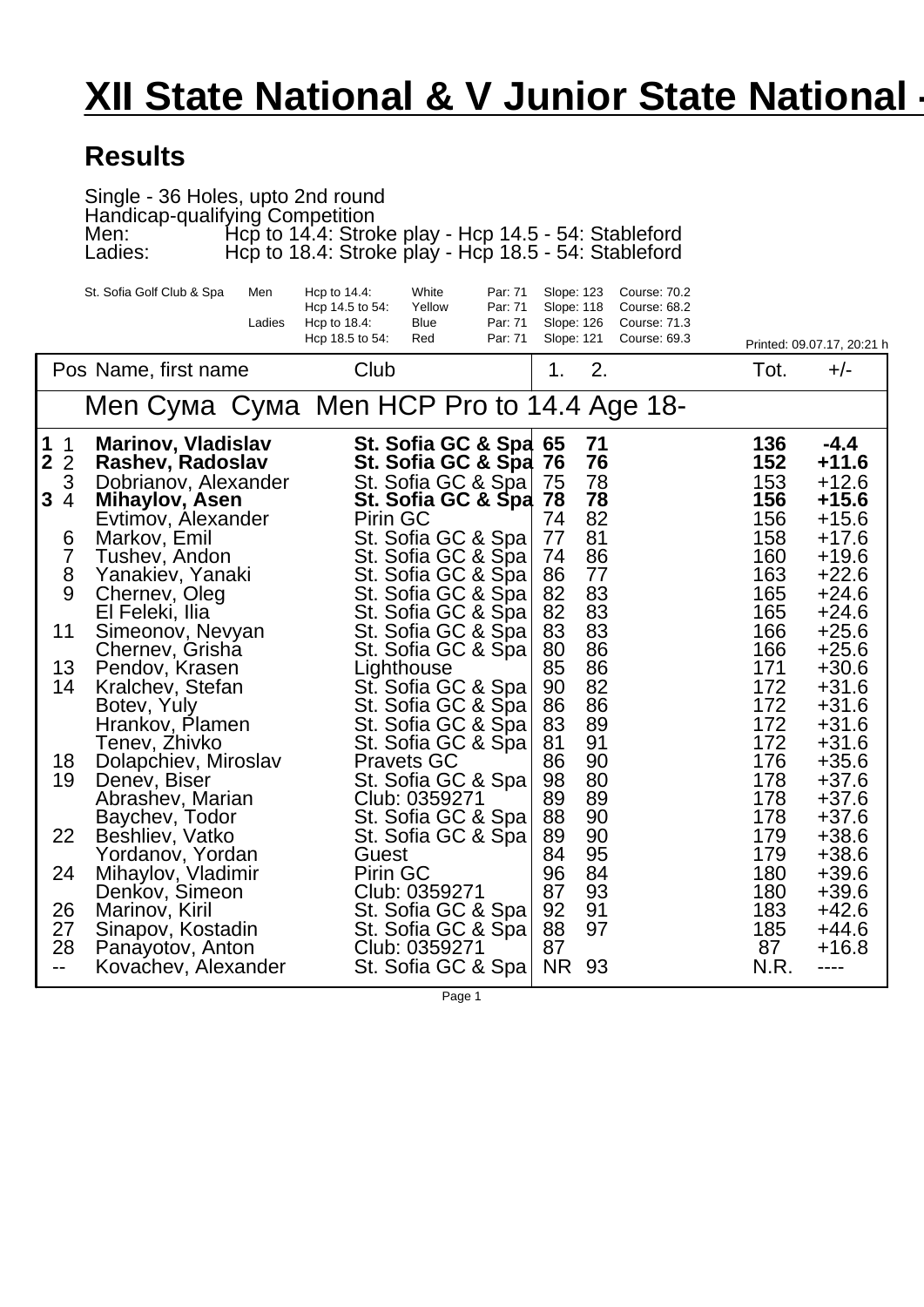## **XII State National & V Junior State National -**

## **Results**

Single - 36 Holes, upto 2nd round Handicap-qualifying Competition Men: Hcp to 14.4: Stroke play - Hcp 14.5 - 54: Stableford Ladies: Hcp to 18.4: Stroke play - Hcp 18.5 - 54: Stableford

| White<br>St. Sofia Golf Club & Spa<br>Men<br>Hcp to 14.4:<br>Par: 71<br>Slope: 123<br><b>Course: 70.2</b><br>Hcp 14.5 to 54:<br>Yellow<br>Par: 71<br>Slope: 118<br><b>Course: 68.2</b>                                             |                   |                               |
|------------------------------------------------------------------------------------------------------------------------------------------------------------------------------------------------------------------------------------|-------------------|-------------------------------|
| Ladies<br>Par: 71<br>Slope: 126<br><b>Course: 71.3</b><br>Hcp to $18.4$ :<br>Blue<br>Hcp 18.5 to 54:<br>Par: 71<br>Slope: 121<br>Course: 69.3<br>Red                                                                               |                   | Printed: 09.07.17, 20:21 h    |
| 2.<br>Club<br>Pos Name, first name<br>1.                                                                                                                                                                                           | Tot.              | $+/-$                         |
| Men HCP Pro to 14.4 Age 18-<br>Men                                                                                                                                                                                                 |                   |                               |
| 1<br><b>Marinov, Vladislav</b><br>St. Sofia GC & Spa 65<br>71<br>$\mathbf 1$<br>$\mathbf 2$<br>$\overline{2}$<br>Rashev, Radoslav<br>St. Sofia GC & Spa<br>76<br>76<br>3<br>75<br>78<br>St. Sofia GC & Spa<br>Dobrianov, Alexander | 136<br>152<br>153 | $-4.4$<br>$+11.6$<br>$+12.6$  |
| 3<br>78<br>$\overline{4}$<br>78<br>St. Sofia GC & Spa<br>Mihaylov, Asen<br>82<br>74<br>Pirin GC<br>Evtimov, Alexander                                                                                                              | 156<br>156        | $+15.6$<br>$+15.6$            |
| 81<br>St. Sofia GC & Spa<br>77<br>6<br>Markov, Emil<br>$\begin{array}{c} 7 \\ 8 \end{array}$<br>86<br>74<br>St. Sofia GC & Spa<br>Tushev, Andon                                                                                    | 158<br>160        | $+17.6$<br>$+19.6$            |
| 86<br>77<br>St. Sofia GC & Spa<br>Yanakiev, Yanaki<br>9<br>83<br>82<br>St. Sofia GC & Spa<br>Chernev, Oleg<br>83<br>82<br>El Feleki, Ilia                                                                                          | 163<br>165<br>165 | $+22.6$<br>$+24.6$<br>$+24.6$ |
| St. Sofia GC & Spa<br>83<br>83<br>11<br>St. Sofia GC & Spa<br>Simeonov, Nevyan<br>86<br>80<br>Chernev, Grisha<br>St. Sofia GC & Spa                                                                                                | 166<br>166        | $+25.6$<br>$+25.6$            |
| 85<br>86<br>13<br>Pendov, Krasen<br>Lighthouse<br>82<br>90<br>14<br>St. Sofia GC & Spa<br>Kralchev, Stefan                                                                                                                         | 171<br>172        | $+30.6$<br>$+31.6$            |
| 86<br>86<br>St. Sofia GC & Spa<br>Botev, Yuly<br>89<br>83<br>St. Sofia GC & Spa<br>Hrankov, Plamen<br>81<br>91<br>Tenev, Zhivko<br>St. Sofia GC & Spa                                                                              | 172<br>172<br>172 | $+31.6$<br>$+31.6$<br>$+31.6$ |
| 86<br>90<br>18<br>Dolapchiev, Miroslav<br><b>Pravets GC</b><br>98<br>19<br>80<br>St. Sofia GC & Spa<br>Denev, Biser                                                                                                                | 176<br>178        | $+35.6$<br>$+37.6$            |
| 89<br>89<br>Abrashev, Marian<br>Club: 0359271<br>88<br>90<br>St. Sofia GC & Spa<br>Baychev, Todor<br>89<br>90<br>22<br>Beshliev, Vatko<br>St. Sofia GC & Spa                                                                       | 178<br>178<br>179 | $+37.6$<br>$+37.6$<br>$+38.6$ |
| 95<br>84<br>Yordanov, Yordan<br>Guest                                                                                                                                                                                              | 179               | $+38.6$                       |
| 96<br>84<br>24<br>Mihaylov, Vladimir<br><b>Pirin GC</b><br>93<br>87<br>Club: 0359271<br>Denkov, Simeon                                                                                                                             | 180<br>180        | $+39.6$<br>$+39.6$            |
| 26<br>92<br>91<br>St. Sofia GC & Spa<br>Marinov, Kiril<br>97<br>27<br>88<br>St. Sofia GC & Spa<br>Sinapov, Kostadin                                                                                                                | 183<br>185        | $+42.6$<br>$+44.6$            |
| 28<br>87<br>Club: 0359271<br>Panayotov, Anton<br><b>NR</b><br>St. Sofia GC & Spa<br>93<br>Kovachev, Alexander<br>$-$                                                                                                               | 87<br>N.R.        | $+16.8$<br>----               |

Page 1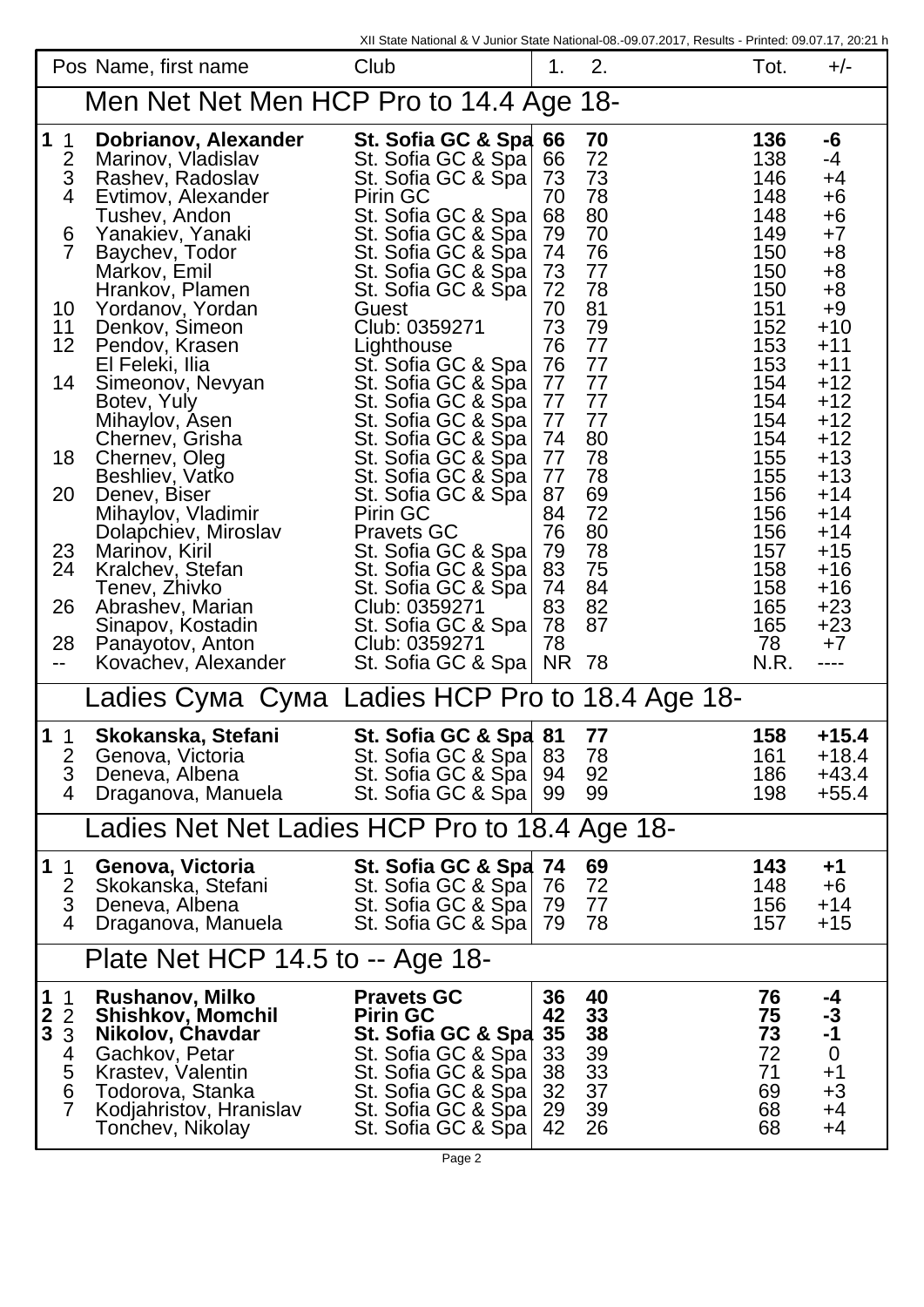|                                                 | Pos Name, first name                        | XII State National & V Junior State National-08.-09.07.2017, Results - Printed: 09.07.17, 20:21 h<br>Club | 1.       | 2.       | Tot.       | $+/-$                    |
|-------------------------------------------------|---------------------------------------------|-----------------------------------------------------------------------------------------------------------|----------|----------|------------|--------------------------|
|                                                 | Men Net Net Men HCP Pro to 14.4 Age 18-     |                                                                                                           |          |          |            |                          |
|                                                 |                                             |                                                                                                           |          |          |            |                          |
| $\mathbf 1$<br>$\overline{1}$<br>$\overline{2}$ | Dobrianov, Alexander<br>Marinov, Vladislav  | St. Sofia GC & Spa 66<br>St. Sofia GC & Spa 66                                                            |          | 70<br>72 | 136<br>138 | -6<br>$-4$               |
| 3<br>$\overline{4}$                             | Rashev, Radoslav<br>Evtimov, Alexander      | St. Sofia GC & Spa   73<br>Pirin GC                                                                       | 70       | 73<br>78 | 146<br>148 | $+4$<br>$+6$             |
| 6                                               | Tushev, Andon<br>Yanakiev, Yanaki           | St. Sofia GC & Spa 68<br>St. Sofia GC & Spa 79                                                            |          | 80<br>70 | 148<br>149 | $+6$<br>$+7$             |
| $\overline{7}$                                  | Baychev, Todor<br>Markov, Emil              | St. Sofia GC & Spa 74<br>St. Sofia GC & Spa 73                                                            |          | 76<br>77 | 150<br>150 | $+8$<br>$+8$             |
|                                                 | Hrankov, Plamen                             | St. Sofia GC & Spa   72                                                                                   |          | 78       | 150        | $+8$                     |
| 10<br>11                                        | Yordanov, Yordan<br>Denkov, Simeon          | Guest<br>Club: 0359271                                                                                    | 70<br>73 | 81<br>79 | 151<br>152 | $+9$<br>$+10$            |
| 12                                              | Pendov, Krasen<br>El Feleki, Ilia           | Lighthouse<br>St. Sofia GC & Spa 76                                                                       | 76       | 77<br>77 | 153<br>153 | $+11$<br>$+11$           |
| 14                                              | Simeonov, Nevyan                            | St. Sofia GC & Spa 77                                                                                     |          | 77       | 154        | $+12$                    |
|                                                 | Botev, Yuly<br>Mihaylov, Asen               | St. Sofia GC & Spa 77<br>St. Sofia GC & Spa 77                                                            |          | 77<br>77 | 154<br>154 | $+12$<br>$+12$           |
| 18                                              | Chernev, Grisha<br>Chernev, Oleg            | St. Sofia GC & Spa 74<br>St. Sofia GC & Spa   77                                                          |          | 80<br>78 | 154<br>155 | $+12$<br>$+13$           |
|                                                 | Beshliev, Vatko                             | St. Sofia GC & Spa   77                                                                                   |          | 78       | 155        | $+13$                    |
| 20                                              | Denev, Biser<br>Mihaylov, Vladimir          | St. Sofia GC & Spa   87<br>Pirin GC                                                                       | 84       | 69<br>72 | 156<br>156 | $+14$<br>$+14$           |
| 23                                              | Dolapchiev, Miroslav<br>Marinov, Kiril      | <b>Pravets GC</b><br>St. Sofia GC & Spa 79                                                                | 76       | 80<br>78 | 156<br>157 | $+14$<br>$+15$           |
| 24                                              | Marinov, Kiril<br>Kralche <u>v,</u> Stefan  | St. Sofia GC & Spa 83                                                                                     |          | 75       | 158        | $+16$                    |
| 26                                              | Tenev, Zhivko<br>Abrashev, Marian           | St. Sofia GC & Spa 74<br>Club: 0359271                                                                    | 83       | 84<br>82 | 158<br>165 | $+16$<br>$+23$           |
| 28                                              | Sinapov, Kostadin<br>Panayotov, Anton       | St. Sofia GC & Spa 78<br>Club: 0359271                                                                    | 78       | 87       | 165<br>78  | $+23$<br>$+7$            |
| -−                                              | Kovachev, Alexander                         | St. Sofia GC & Spa   NR 78                                                                                |          |          | N.R.       | ----                     |
|                                                 | _adies                                      | Ladies HCP Pro to 18.4 Age 18-                                                                            |          |          |            |                          |
| 1 <sub>1</sub>                                  | Skokanska, Stefani                          | St. Sofia GC & Spa 81                                                                                     |          | 77       | 158        | $+15.4$                  |
| 2<br>3                                          | Genova, Victoria<br>Deneva, Albena          | St. Sofia GC & Spa 83<br>St. Sofia GC & Spa   94                                                          |          | 78<br>92 | 161<br>186 | $+18.4$<br>$+43.4$       |
| $\overline{4}$                                  | Draganova, Manuela                          | St. Sofia GC & Spa   99                                                                                   |          | 99       | 198        | $+55.4$                  |
| Ladies Net Net Ladies HCP Pro to 18.4 Age 18-   |                                             |                                                                                                           |          |          |            |                          |
| 1 <sub>1</sub>                                  | Genova, Victoria                            | St. Sofia GC & Spa 74                                                                                     |          | 69       | 143        | $+1$                     |
| $\frac{2}{3}$                                   | Skokanska, Stefani<br>Deneva, Albena        | St. Sofia GC & Spa 76<br>St. Sofia GC & Spa 79                                                            |          | 72<br>77 | 148<br>156 | $+6$<br>$+14$            |
| $\overline{4}$                                  | Draganova, Manuela                          | St. Sofia GC & Spa 79                                                                                     |          | 78       | 157        | $+15$                    |
| Plate Net HCP 14.5 to -- Age 18-                |                                             |                                                                                                           |          |          |            |                          |
| $\mathbf 1$<br>$\overline{1}$<br>$\overline{2}$ | Rushanov, Milko<br><b>Shishkov, Momchil</b> | <b>Pravets GC</b><br><b>Pirin GC</b>                                                                      | 36<br>42 | 40<br>33 | 76<br>75   | -4                       |
| $\frac{2}{3}$<br>3                              | Nikolov, Chavdar                            | St. Sofia GC & Spa                                                                                        | 35       | 38       | 73         | -3<br>-1                 |
| 4                                               | Gachkov, Petar<br>Krastev, Valentin         | St. Sofia GC & Spa<br>St. Sofia GC & Spa                                                                  | 33<br>38 | 39<br>33 | 72<br>71   | $\boldsymbol{0}$<br>$+1$ |
| $\frac{5}{6}$<br>$\overline{7}$                 | Todorova, Stanka<br>Kodjahristov, Hranislav | St. Sofia GC & Spa<br>St. Sofia GC & Spa                                                                  | 32<br>29 | 37<br>39 | 69<br>68   | $+3$<br>+4               |
|                                                 | Tonchev, Nikolay                            | St. Sofia GC & Spa                                                                                        | 42       | 26       | 68         | +4                       |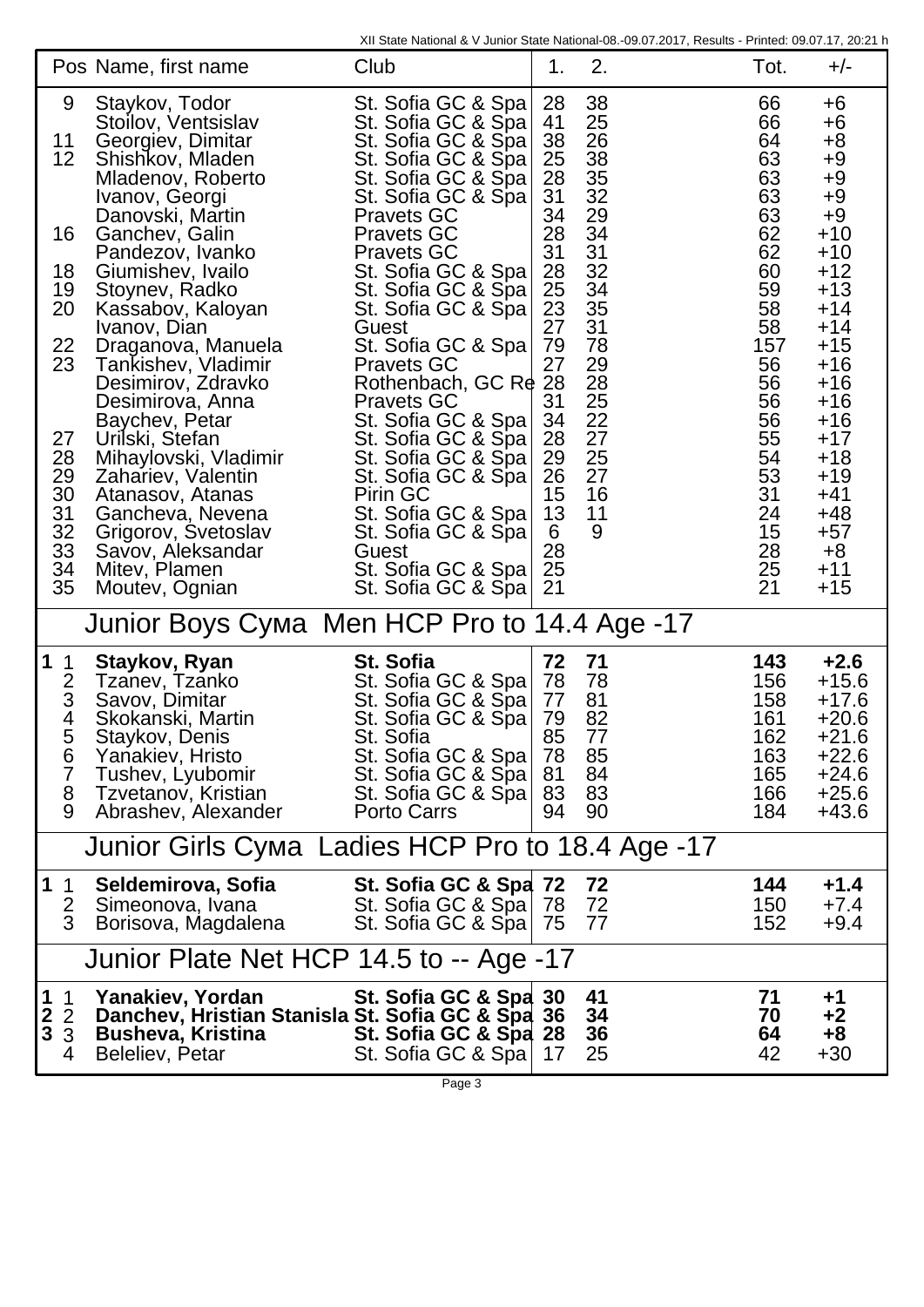XII State National & V Junior State National-08.-09.07.2017, Results - Printed: 09.07.17, 20:21 h

|                                                                                                         | Pos Name, first name                                                                                                                                                                                                                                                                                                                                                                                                                                                                                                                                          | Club                                                                                                                                                                                                                                                                                                                                                                                                                                                                                                                                                                 | 1.                                                                                                                                                                   | 2.                                                                                                                                                                            | Tot.                                                                                                                                                            | $+/-$                                                                                                                                                                                                                                   |
|---------------------------------------------------------------------------------------------------------|---------------------------------------------------------------------------------------------------------------------------------------------------------------------------------------------------------------------------------------------------------------------------------------------------------------------------------------------------------------------------------------------------------------------------------------------------------------------------------------------------------------------------------------------------------------|----------------------------------------------------------------------------------------------------------------------------------------------------------------------------------------------------------------------------------------------------------------------------------------------------------------------------------------------------------------------------------------------------------------------------------------------------------------------------------------------------------------------------------------------------------------------|----------------------------------------------------------------------------------------------------------------------------------------------------------------------|-------------------------------------------------------------------------------------------------------------------------------------------------------------------------------|-----------------------------------------------------------------------------------------------------------------------------------------------------------------|-----------------------------------------------------------------------------------------------------------------------------------------------------------------------------------------------------------------------------------------|
| 9<br>11<br>12<br>16<br>18<br>19<br>20<br>22<br>23<br>27<br>28<br>29<br>30<br>31<br>32<br>33<br>34<br>35 | Staykov, Todor<br>Stoilov, Ventsislav<br>Georgiev, Dimitar<br>Shishkov, Mladen<br>Mladenov, Roberto<br>Ivanov, Georgi<br>Danovski, Martin<br>Ganchev, Galin<br>Pandezov, Ivanko<br>Giumishev, Ivailo<br>Stoynev, Radko<br>Kassabov, Kaloyan<br>Ivanov, Dian<br>Draganova, Manuela<br>Tankishev, Vladimir<br>Desimirov, Zdravko<br>Desimirova, Anna<br>Baychev, Petar<br>Urilski, Stefan<br>Mihaylovski, Vladimir<br>Zahariev, Valentin<br>Atanasov, Atanas<br>Gancheva, Nevena<br>Grigorov, Svetoslav<br>Savov, Aleksandar<br>Mitev, Plamen<br>Moutev, Ognian | St. Sofia GC & Spa<br>St. Sofia GC & Spa<br>St. Sofia GC & Spa<br>St. Sofia GC & Spa<br>St. Sofia GC & Spa<br>St. Sofia GC & Spa<br><b>Pravets GC</b><br><b>Pravets GC</b><br><b>Pravets GC</b><br>St. Sofia GC & Spa<br>St. Sofia GC & Spa<br>St. Sofia GC & Spa<br>Guest<br>St. Sofia GC & Spa<br><b>Pravets GC</b><br>Rothenbach, GC Re<br><b>Pravets GC</b><br>St. Sofia GC & Spa<br>St. Sofia GC & Spa<br>St. Sofia GC & Spa<br>St. Sofia GC & Spa<br>Pirin GC<br>St. Sofia GC & Spa<br>St. Sofia GC & Spa<br>Guest<br>St. Sofia GC & Spa<br>St. Sofia GC & Spa | 28<br>41<br>38<br>25<br>28<br>31<br>34<br>28<br>31<br>28<br>25<br>$\frac{23}{27}$<br>79<br>27<br>28<br>31<br>34<br>28<br>29<br>26<br>15<br>13<br>6<br>28<br>25<br>21 | 38<br>25<br>26<br>38<br>35<br>32<br>29<br>34<br>$\frac{31}{32}$<br>34<br>$\overline{35}$<br>31<br>78<br>29<br>28<br>25<br>$\frac{22}{27}$<br>$\frac{25}{27}$<br>16<br>11<br>9 | 66<br>66<br>64<br>63<br>63<br>63<br>63<br>62<br>62<br>60<br>59<br>58<br>58<br>157<br>56<br>56<br>56<br>56<br>55<br>54<br>53<br>31<br>24<br>15<br>28<br>25<br>21 | $+6$<br>$+6$<br>$+8$<br>$+9$<br>$+9$<br>$+9$<br>$+9$<br>$+10$<br>$+10$<br>$+12$<br>$+13$<br>$+14$<br>$+14$<br>$+15$<br>$+16$<br>$+16$<br>$+16$<br>$+16$<br>$+17$<br>$+18$<br>$+19$<br>$+41$<br>$+48$<br>$+57$<br>$+8$<br>$+11$<br>$+15$ |
|                                                                                                         | <b>Junior Boys</b>                                                                                                                                                                                                                                                                                                                                                                                                                                                                                                                                            | Men HCP Pro to 14.4 Age -17                                                                                                                                                                                                                                                                                                                                                                                                                                                                                                                                          |                                                                                                                                                                      |                                                                                                                                                                               |                                                                                                                                                                 |                                                                                                                                                                                                                                         |
| $\mathbf 1$<br>$\mathbf 1$<br>$rac{2}{3}$<br>$\overline{\mathbf{4}}$<br>5<br>6<br>7<br>8<br>9           | Staykov, Ryan<br>Tzanev, Tzanko<br>Savov, Dimitar<br>Skokanski, Martin<br>Staykov, Denis<br>Yanakiev, Hristo<br>Tushev, Lyubomir<br>Tzvetanov, Kristian<br>Abrashev, Alexander                                                                                                                                                                                                                                                                                                                                                                                | St. Sofia<br>St. Sofia GC & Spa<br>St. Sofia GC & Spa<br>St. Sofia GC & Spa<br>St. Sofia<br>St. Sofia GC & Spa<br>St. Sofia GC & Spa<br>St. Sofia GC & Spa<br>Porto Carrs                                                                                                                                                                                                                                                                                                                                                                                            | 72<br>78<br>77<br>79<br>85<br>78<br>81<br>83<br>94                                                                                                                   | 71<br>78<br>81<br>82<br>77<br>85<br>84<br>83<br>90                                                                                                                            | 143<br>156<br>158<br>161<br>162<br>163<br>165<br>166<br>184                                                                                                     | $+2.6$<br>$+15.6$<br>$+17.6$<br>$+20.6$<br>$+21.6$<br>+22.6<br>$+24.6$<br>$+25.6$<br>+43.6                                                                                                                                              |
| <b>Junior Girls</b><br>Ladies HCP Pro to 18.4 Age -17                                                   |                                                                                                                                                                                                                                                                                                                                                                                                                                                                                                                                                               |                                                                                                                                                                                                                                                                                                                                                                                                                                                                                                                                                                      |                                                                                                                                                                      |                                                                                                                                                                               |                                                                                                                                                                 |                                                                                                                                                                                                                                         |
| $\mathbf 1$<br>$\mathbf 1$<br>2<br>3                                                                    | Seldemirova, Sofia<br>Simeonova, Ivana<br>Borisova, Magdalena                                                                                                                                                                                                                                                                                                                                                                                                                                                                                                 | St. Sofia GC & Spa 72<br>St. Sofia GC & Spa 78<br>St. Sofia GC & Spa                                                                                                                                                                                                                                                                                                                                                                                                                                                                                                 | -75                                                                                                                                                                  | 72<br>72<br>77                                                                                                                                                                | 144<br>150<br>152                                                                                                                                               | $+1.4$<br>$+7.4$<br>$+9.4$                                                                                                                                                                                                              |
| Junior Plate Net HCP 14.5 to -- Age -17                                                                 |                                                                                                                                                                                                                                                                                                                                                                                                                                                                                                                                                               |                                                                                                                                                                                                                                                                                                                                                                                                                                                                                                                                                                      |                                                                                                                                                                      |                                                                                                                                                                               |                                                                                                                                                                 |                                                                                                                                                                                                                                         |
| $\begin{array}{c} 1 \\ 2 \\ 3 \end{array}$<br>$\overline{1}$<br>$\overline{2}$<br>3<br>4                | Yanakiev, Yordan<br>Danchev, Hristian Stanisla St. Sofia GC & Spa 36<br><b>Busheva, Kristina</b><br><b>Beleliev, Petar</b>                                                                                                                                                                                                                                                                                                                                                                                                                                    | St. Sofia GC & Spa 30<br>St. Sofia GC & Spa 28<br>St. Sofia GC & Spa                                                                                                                                                                                                                                                                                                                                                                                                                                                                                                 | 17                                                                                                                                                                   | 41<br>34<br>36<br>25                                                                                                                                                          | 71<br>70<br>64<br>42                                                                                                                                            | $+1$<br>$+2$<br>$+8$<br>$+30$                                                                                                                                                                                                           |